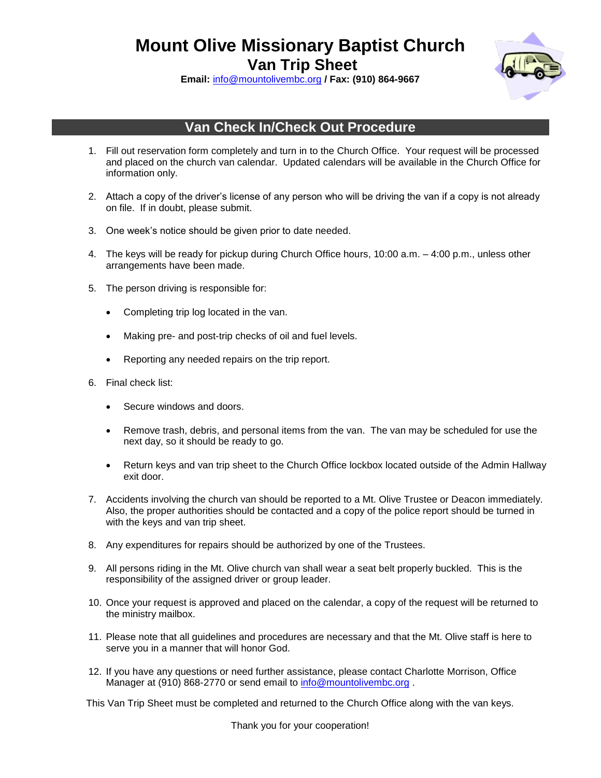**Mount Olive Missionary Baptist Church**

**Van Trip Sheet**



**Email:** [info@mountolivembc.org](mailto:info@mountolivembc.org) **/ Fax: (910) 864-9667**

## **Van Check In/Check Out Procedure**

- 1. Fill out reservation form completely and turn in to the Church Office. Your request will be processed and placed on the church van calendar. Updated calendars will be available in the Church Office for information only.
- 2. Attach a copy of the driver's license of any person who will be driving the van if a copy is not already on file. If in doubt, please submit.
- 3. One week's notice should be given prior to date needed.
- 4. The keys will be ready for pickup during Church Office hours, 10:00 a.m. 4:00 p.m., unless other arrangements have been made.
- 5. The person driving is responsible for:
	- Completing trip log located in the van.
	- Making pre- and post-trip checks of oil and fuel levels.
	- Reporting any needed repairs on the trip report.
- 6. Final check list:
	- Secure windows and doors.
	- Remove trash, debris, and personal items from the van. The van may be scheduled for use the next day, so it should be ready to go.
	- Return keys and van trip sheet to the Church Office lockbox located outside of the Admin Hallway exit door.
- 7. Accidents involving the church van should be reported to a Mt. Olive Trustee or Deacon immediately. Also, the proper authorities should be contacted and a copy of the police report should be turned in with the keys and van trip sheet.
- 8. Any expenditures for repairs should be authorized by one of the Trustees.
- 9. All persons riding in the Mt. Olive church van shall wear a seat belt properly buckled. This is the responsibility of the assigned driver or group leader.
- 10. Once your request is approved and placed on the calendar, a copy of the request will be returned to the ministry mailbox.
- 11. Please note that all guidelines and procedures are necessary and that the Mt. Olive staff is here to serve you in a manner that will honor God.
- 12. If you have any questions or need further assistance, please contact Charlotte Morrison, Office Manager at (910) 868-2770 or send email to [info@mountolivembc.org](mailto:charlotte.morrison@mountolivembc.org).

This Van Trip Sheet must be completed and returned to the Church Office along with the van keys.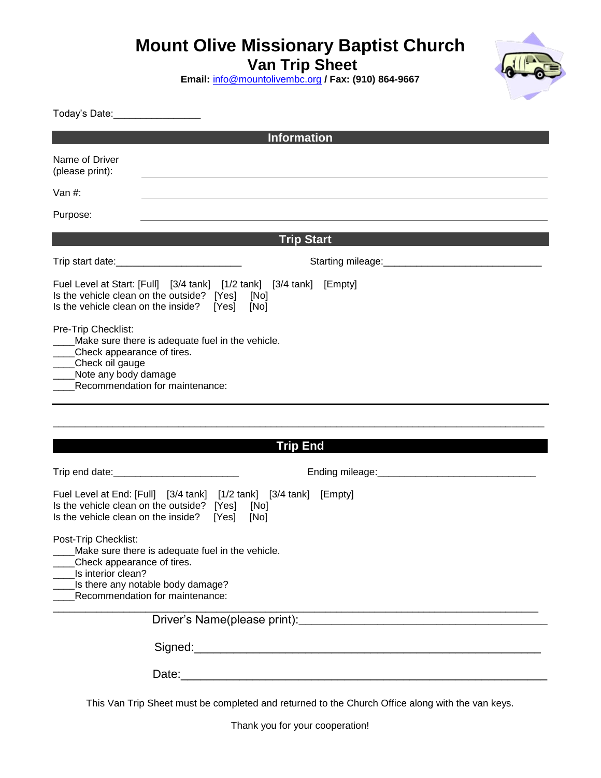## **Mount Olive Missionary Baptist Church**

**Van Trip Sheet**

**Email:** [info@mountolivembc.org](mailto:info@mountolivembc.org) **/ Fax: (910) 864-9667**